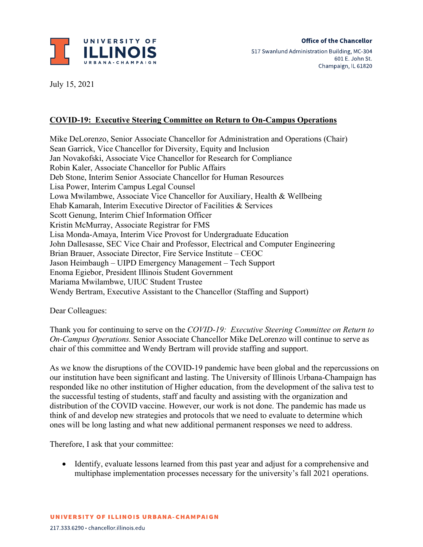

July 15, 2021

## **COVID-19: Executive Steering Committee on Return to On-Campus Operations**

Mike DeLorenzo, Senior Associate Chancellor for Administration and Operations (Chair) Sean Garrick, Vice Chancellor for Diversity, Equity and Inclusion Jan Novakofski, Associate Vice Chancellor for Research for Compliance Robin Kaler, Associate Chancellor for Public Affairs Deb Stone, Interim Senior Associate Chancellor for Human Resources Lisa Power, Interim Campus Legal Counsel Lowa Mwilambwe, Associate Vice Chancellor for Auxiliary, Health & Wellbeing Ehab Kamarah, Interim Executive Director of Facilities & Services Scott Genung, Interim Chief Information Officer Kristin McMurray, Associate Registrar for FMS Lisa Monda-Amaya, Interim Vice Provost for Undergraduate Education John Dallesasse, SEC Vice Chair and Professor, Electrical and Computer Engineering Brian Brauer, Associate Director, Fire Service Institute – CEOC Jason Heimbaugh – UIPD Emergency Management – Tech Support Enoma Egiebor, President Illinois Student Government Mariama Mwilambwe, UIUC Student Trustee Wendy Bertram, Executive Assistant to the Chancellor (Staffing and Support)

Dear Colleagues:

Thank you for continuing to serve on the *COVID-19: Executive Steering Committee on Return to On-Campus Operations.* Senior Associate Chancellor Mike DeLorenzo will continue to serve as chair of this committee and Wendy Bertram will provide staffing and support.

As we know the disruptions of the COVID-19 pandemic have been global and the repercussions on our institution have been significant and lasting. The University of Illinois Urbana-Champaign has responded like no other institution of Higher education, from the development of the saliva test to the successful testing of students, staff and faculty and assisting with the organization and distribution of the COVID vaccine. However, our work is not done. The pandemic has made us think of and develop new strategies and protocols that we need to evaluate to determine which ones will be long lasting and what new additional permanent responses we need to address.

Therefore, I ask that your committee:

• Identify, evaluate lessons learned from this past year and adjust for a comprehensive and multiphase implementation processes necessary for the university's fall 2021 operations.